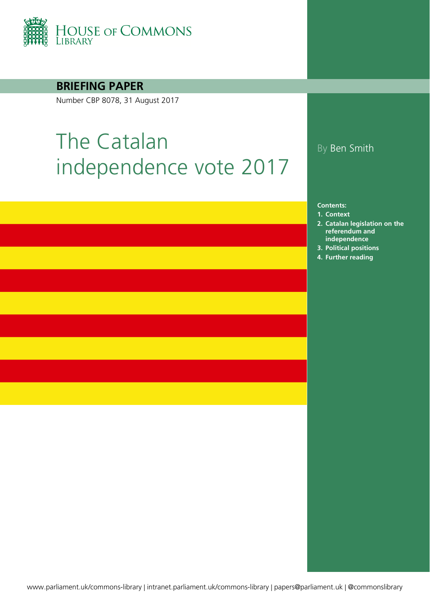

**BRIEFING PAPER**

Number CBP 8078, 31 August 2017

# The Catalan independence vote 2017

### By Ben Smith

**Contents:**

- **1. [Context](#page-3-0)**
- **2. [Catalan legislation on the](#page-5-0)  [referendum and](#page-5-0)  [independence](#page-5-0)**
- **3. [Political positions](#page-7-0)**
- **4. [Further reading](#page-9-0)**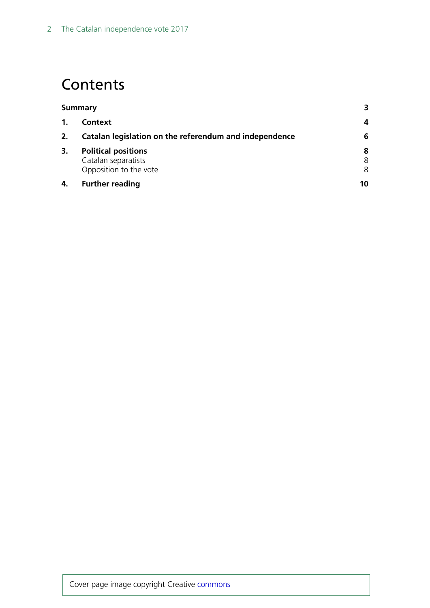# **Contents**

| <b>Summary</b> |                                                        | 3      |
|----------------|--------------------------------------------------------|--------|
| $\mathbf 1$ .  | Context                                                | 4      |
| 2.             | Catalan legislation on the referendum and independence | 6      |
| 3.             | <b>Political positions</b><br>Catalan separatists      | 8<br>8 |
|                | Opposition to the vote                                 | 8      |
| 4.             | <b>Further reading</b>                                 | 10     |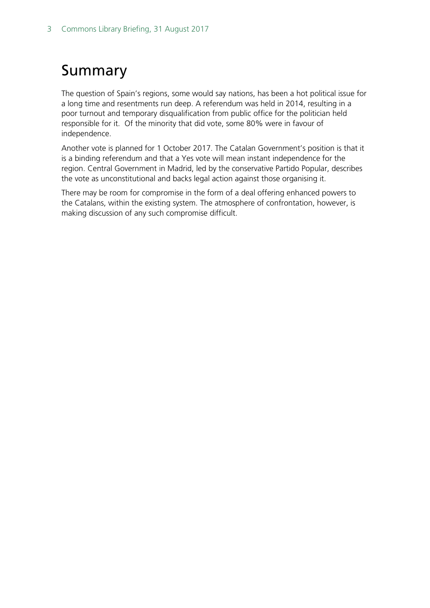# <span id="page-2-0"></span>Summary

The question of Spain's regions, some would say nations, has been a hot political issue for a long time and resentments run deep. A referendum was held in 2014, resulting in a poor turnout and temporary disqualification from public office for the politician held responsible for it. Of the minority that did vote, some 80% were in favour of independence.

Another vote is planned for 1 October 2017. The Catalan Government's position is that it is a binding referendum and that a Yes vote will mean instant independence for the region. Central Government in Madrid, led by the conservative Partido Popular, describes the vote as unconstitutional and backs legal action against those organising it.

There may be room for compromise in the form of a deal offering enhanced powers to the Catalans, within the existing system. The atmosphere of confrontation, however, is making discussion of any such compromise difficult.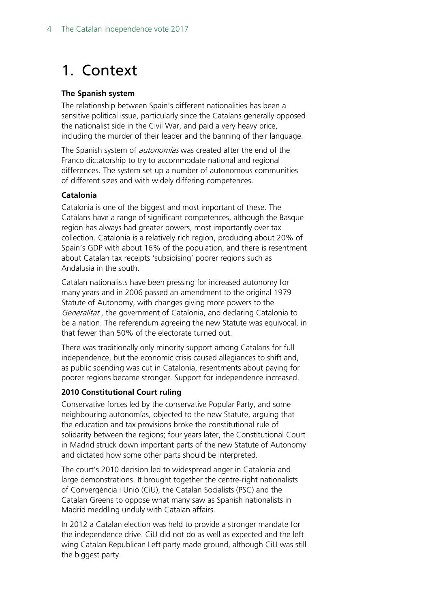# <span id="page-3-0"></span>1. Context

#### **The Spanish system**

The relationship between Spain's different nationalities has been a sensitive political issue, particularly since the Catalans generally opposed the nationalist side in the Civil War, and paid a very heavy price, including the murder of their leader and the banning of their language.

The Spanish system of *autonomías* was created after the end of the Franco dictatorship to try to accommodate national and regional differences. The system set up a number of autonomous communities of different sizes and with widely differing competences.

### **Catalonia**

Catalonia is one of the biggest and most important of these. The Catalans have a range of significant competences, although the Basque region has always had greater powers, most importantly over tax collection. Catalonia is a relatively rich region, producing about 20% of Spain's GDP with about 16% of the population, and there is resentment about Catalan tax receipts 'subsidising' poorer regions such as Andalusia in the south.

Catalan nationalists have been pressing for increased autonomy for many years and in 2006 passed an amendment to the original 1979 Statute of Autonomy, with changes giving more powers to the Generalitat, the government of Catalonia, and declaring Catalonia to be a nation. The referendum agreeing the new Statute was equivocal, in that fewer than 50% of the electorate turned out.

There was traditionally only minority support among Catalans for full independence, but the economic crisis caused allegiances to shift and, as public spending was cut in Catalonia, resentments about paying for poorer regions became stronger. Support for independence increased.

#### **2010 Constitutional Court ruling**

Conservative forces led by the conservative Popular Party, and some neighbouring autonomías, objected to the new Statute, arguing that the education and tax provisions broke the constitutional rule of solidarity between the regions; four years later, the Constitutional Court in Madrid struck down important parts of the new Statute of Autonomy and dictated how some other parts should be interpreted.

The court's 2010 decision led to widespread anger in Catalonia and large demonstrations. It brought together the centre-right nationalists of Convergència i Unió (CiU), the Catalan Socialists (PSC) and the Catalan Greens to oppose what many saw as Spanish nationalists in Madrid meddling unduly with Catalan affairs.

In 2012 a Catalan election was held to provide a stronger mandate for the independence drive. CiU did not do as well as expected and the left wing Catalan Republican Left party made ground, although CiU was still the biggest party.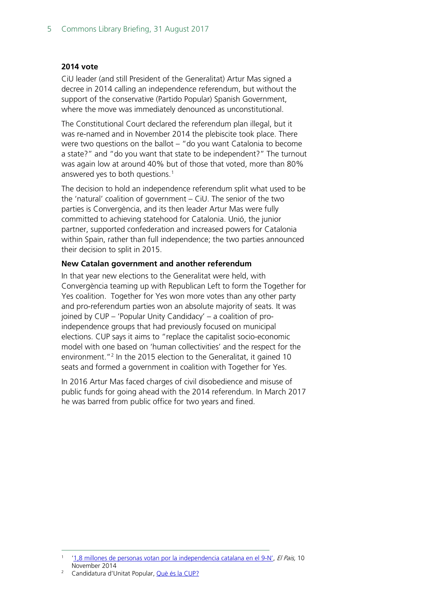#### **2014 vote**

CiU leader (and still President of the Generalitat) Artur Mas signed a decree in 2014 calling an independence referendum, but without the support of the conservative (Partido Popular) Spanish Government, where the move was immediately denounced as unconstitutional.

The Constitutional Court declared the referendum plan illegal, but it was re-named and in November 2014 the plebiscite took place. There were two questions on the ballot – "do you want Catalonia to become a state?" and "do you want that state to be independent?" The turnout was again low at around 40% but of those that voted, more than 80% answered yes to both questions.<sup>[1](#page-4-0)</sup>

The decision to hold an independence referendum split what used to be the 'natural' coalition of government – CiU. The senior of the two parties is Convergència, and its then leader Artur Mas were fully committed to achieving statehood for Catalonia. Unió, the junior partner, supported confederation and increased powers for Catalonia within Spain, rather than full independence; the two parties announced their decision to split in 2015.

#### **New Catalan government and another referendum**

In that year new elections to the Generalitat were held, with Convergència teaming up with Republican Left to form the Together for Yes coalition. Together for Yes won more votes than any other party and pro-referendum parties won an absolute majority of seats. It was joined by CUP – 'Popular Unity Candidacy' – a coalition of proindependence groups that had previously focused on municipal elections. CUP says it aims to "replace the capitalist socio-economic model with one based on 'human collectivities' and the respect for the environment.<sup>"[2](#page-4-1)</sup> In the 2015 election to the Generalitat, it gained 10 seats and formed a government in coalition with Together for Yes.

In 2016 Artur Mas faced charges of civil disobedience and misuse of public funds for going ahead with the 2014 referendum. In March 2017 he was barred from public office for two years and fined.

<span id="page-4-0"></span> <sup>1</sup> ['1,8 millones de personas votan por la independencia catalana en el 9-N',](https://politica.elpais.com/politica/2014/11/09/actualidad/1415542400_466311.html) El Pais, <sup>10</sup> November 2014

<span id="page-4-1"></span><sup>2</sup> Candidatura d'Unitat Popular, [Què és la CUP?](http://cup.cat/que-es-la-cup)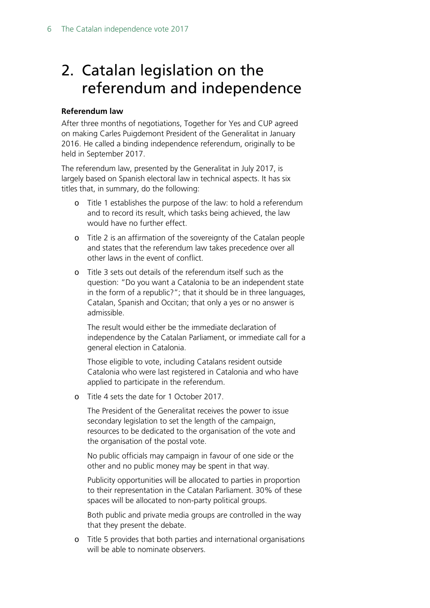# <span id="page-5-0"></span>2. Catalan legislation on the referendum and independence

#### **Referendum law**

After three months of negotiations, Together for Yes and CUP agreed on making Carles Puigdemont President of the Generalitat in January 2016. He called a binding independence referendum, originally to be held in September 2017.

The referendum law, presented by the Generalitat in July 2017, is largely based on Spanish electoral law in technical aspects. It has six titles that, in summary, do the following:

- o Title 1 establishes the purpose of the law: to hold a referendum and to record its result, which tasks being achieved, the law would have no further effect.
- o Title 2 is an affirmation of the sovereignty of the Catalan people and states that the referendum law takes precedence over all other laws in the event of conflict.
- o Title 3 sets out details of the referendum itself such as the question: "Do you want a Catalonia to be an independent state in the form of a republic?"; that it should be in three languages, Catalan, Spanish and Occitan; that only a yes or no answer is admissible.

The result would either be the immediate declaration of independence by the Catalan Parliament, or immediate call for a general election in Catalonia.

Those eligible to vote, including Catalans resident outside Catalonia who were last registered in Catalonia and who have applied to participate in the referendum.

o Title 4 sets the date for 1 October 2017.

The President of the Generalitat receives the power to issue secondary legislation to set the length of the campaign, resources to be dedicated to the organisation of the vote and the organisation of the postal vote.

No public officials may campaign in favour of one side or the other and no public money may be spent in that way.

Publicity opportunities will be allocated to parties in proportion to their representation in the Catalan Parliament. 30% of these spaces will be allocated to non-party political groups.

Both public and private media groups are controlled in the way that they present the debate.

o Title 5 provides that both parties and international organisations will be able to nominate observers.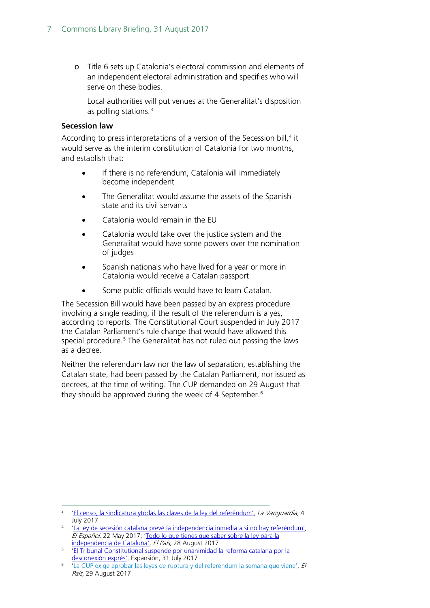o Title 6 sets up Catalonia's electoral commission and elements of an independent electoral administration and specifies who will serve on these bodies.

Local authorities will put venues at the Generalitat's disposition as polling stations. $3$ 

#### **Secession law**

According to press interpretations of a version of the Secession bill,<sup>[4](#page-6-1)</sup> it would serve as the interim constitution of Catalonia for two months, and establish that:

- If there is no referendum, Catalonia will immediately become independent
- The Generalitat would assume the assets of the Spanish state and its civil servants
- Catalonia would remain in the EU
- Catalonia would take over the justice system and the Generalitat would have some powers over the nomination of judges
- Spanish nationals who have lived for a year or more in Catalonia would receive a Catalan passport
- Some public officials would have to learn Catalan.

The Secession Bill would have been passed by an express procedure involving a single reading, if the result of the referendum is a yes, according to reports. The Constitutional Court suspended in July 2017 the Catalan Parliament's rule change that would have allowed this special procedure.<sup>[5](#page-6-2)</sup> The Generalitat has not ruled out passing the laws as a decree.

Neither the referendum law nor the law of separation, establishing the Catalan state, had been passed by the Catalan Parliament, nor issued as decrees, at the time of writing. The CUP demanded on 29 August that they should be approved during the week of 4 September.<sup>[6](#page-6-3)</sup>

<span id="page-6-0"></span><sup>&</sup>lt;sup>3</sup> ['El censo, la sindicatura ytodas las claves de la ley del referéndum',](http://www.lavanguardia.com/politica/20170704/423890524278/censo-sindicatura-electoral-todas-claves-ley-referendum.html) La Vanguardia, 4 July 2017

<span id="page-6-1"></span><sup>4</sup> ['La ley de secesión catalana prevé la independencia inmediata si no hay referéndum',](http://www.elespanol.com/espana/20170522/217978226_0.html)  El Español, 22 May 2017; ['Todo lo que tienes que saber sobre la ley para la](https://politica.elpais.com/politica/2017/08/28/actualidad/1503904357_215435.html)  [independencia de Cataluña',](https://politica.elpais.com/politica/2017/08/28/actualidad/1503904357_215435.html) El País, 28 August 2017

<span id="page-6-2"></span><sup>5</sup> ['El Tribunal Constitutional suspende por unanimidad la reforma catalana por la](http://www.expansion.com/catalunya/2017/07/31/597f5f99268e3e5b3d8b4633.html)  [desconexión exprés',](http://www.expansion.com/catalunya/2017/07/31/597f5f99268e3e5b3d8b4633.html) Expansión, 31 July 2017

<span id="page-6-3"></span><sup>&</sup>lt;sup>6</sup> ['La CUP exige aprobar las leyes de ruptura y del referéndum la semana que viene',](https://elpais.com/ccaa/2017/08/29/catalunya/1503990915_145073.html) El País, 29 August 2017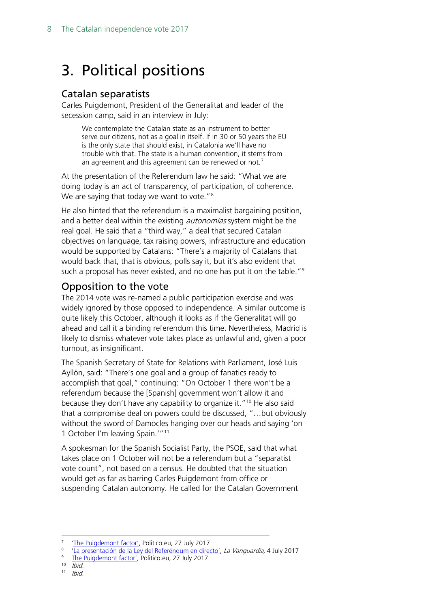# <span id="page-7-0"></span>3. Political positions

### <span id="page-7-1"></span>Catalan separatists

Carles Puigdemont, President of the Generalitat and leader of the secession camp, said in an interview in July:

We contemplate the Catalan state as an instrument to better serve our citizens, not as a goal in itself. If in 30 or 50 years the EU is the only state that should exist, in Catalonia we'll have no trouble with that. The state is a human convention, it stems from an agreement and this agreement can be renewed or not.<sup>[7](#page-7-3)</sup>

At the presentation of the Referendum law he said: "What we are doing today is an act of transparency, of participation, of coherence. We are saying that today we want to vote."<sup>[8](#page-7-4)</sup>

He also hinted that the referendum is a maximalist bargaining position, and a better deal within the existing *autonomías* system might be the real goal. He said that a "third way," a deal that secured Catalan objectives on language, tax raising powers, infrastructure and education would be supported by Catalans: "There's a majority of Catalans that would back that, that is obvious, polls say it, but it's also evident that such a proposal has never existed, and no one has put it on the table."<sup>[9](#page-7-5)</sup>

### <span id="page-7-2"></span>Opposition to the vote

The 2014 vote was re-named a public participation exercise and was widely ignored by those opposed to independence. A similar outcome is quite likely this October, although it looks as if the Generalitat will go ahead and call it a binding referendum this time. Nevertheless, Madrid is likely to dismiss whatever vote takes place as unlawful and, given a poor turnout, as insignificant.

The Spanish Secretary of State for Relations with Parliament, José Luis Ayllón, said: "There's one goal and a group of fanatics ready to accomplish that goal," continuing: "On October 1 there won't be a referendum because the [Spanish] government won't allow it and because they don't have any capability to organize it."<sup>[10](#page-7-6)</sup> He also said that a compromise deal on powers could be discussed, "…but obviously without the sword of Damocles hanging over our heads and saying 'on 1 October I'm leaving Spain.'"[11](#page-7-7)

A spokesman for the Spanish Socialist Party, the PSOE, said that what takes place on 1 October will not be a referendum but a "separatist vote count", not based on a census. He doubted that the situation would get as far as barring Carles Puigdemont from office or suspending Catalan autonomy. He called for the Catalan Government

<span id="page-7-3"></span> <sup>7</sup> ['The Puigdemont factor',](http://www.politico.eu/article/catalonia-independence-referendum-spain-the-carles-puigdemont-factor/) Politico.eu, 27 July 2017

[<sup>&#</sup>x27;La presentación de la Ley del Referéndum en directo',](http://www.lavanguardia.com/politica/20170704/423894488433/presentacion-ley-del-referendum-en-directo.html) La Vanguardia, 4 July 2017

<span id="page-7-7"></span><span id="page-7-6"></span><span id="page-7-5"></span><span id="page-7-4"></span><sup>&</sup>lt;sup>9</sup> [The Puigdemont factor',](http://www.politico.eu/article/catalonia-independence-referendum-spain-the-carles-puigdemont-factor/) Politico.eu, 27 July 2017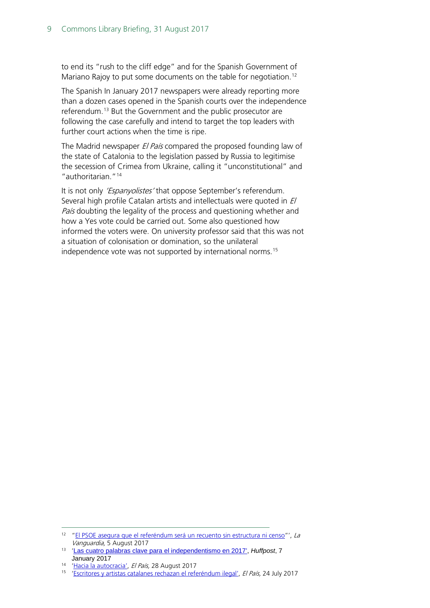to end its "rush to the cliff edge" and for the Spanish Government of Mariano Rajoy to put some documents on the table for negotiation.<sup>[12](#page-8-0)</sup>

The Spanish In January 2017 newspapers were already reporting more than a dozen cases opened in the Spanish courts over the independence referendum.<sup>[13](#page-8-1)</sup> But the Government and the public prosecutor are following the case carefully and intend to target the top leaders with further court actions when the time is ripe.

The Madrid newspaper El País compared the proposed founding law of the state of Catalonia to the legislation passed by Russia to legitimise the secession of Crimea from Ukraine, calling it "unconstitutional" and "authoritarian.["14](#page-8-2)

It is not only 'Espanyolistes' that oppose September's referendum. Several high profile Catalan artists and intellectuals were quoted in El País doubting the legality of the process and questioning whether and how a Yes vote could be carried out. Some also questioned how informed the voters were. On university professor said that this was not a situation of colonisation or domination, so the unilateral independence vote was not supported by international norms.<sup>[15](#page-8-3)</sup>

<span id="page-8-0"></span><sup>&</sup>lt;sup>12</sup> ["El PSOE asegura que el referéndum será un recuento sin estructura ni censo"](http://www.lavanguardia.com/politica/20170805/43350581376/psoe-referendum-recuento.html)', La Vanguardia, 5 August 2017

<span id="page-8-1"></span><sup>13</sup> '[Las cuatro palabras clave para el independentismo en 2017',](http://www.huffingtonpost.es/2017/01/07/palabras-clave-independen_n_13954186.html?utm_hp_ref=es-independentismo-catalan) *Huffpost*, 7 January 2017

<span id="page-8-3"></span><span id="page-8-2"></span><sup>&</sup>lt;sup>14</sup>  $\frac{14 \text{ Alacia la autoracia'}}{15 \text{ T} \cdot \text{F} \cdot \text{F} \cdot \text{F} \cdot \text{F} \cdot \text{F} \cdot \text{F} \cdot \text{F} \cdot \text{F} \cdot \text{F} \cdot \text{F} \cdot \text{F} \cdot \text{F} \cdot \text{F} \cdot \text{F} \cdot \text{F} \cdot \text{F} \cdot \text{F} \cdot \text{F} \cdot \text{F} \cdot \text{F} \cdot \text{F} \cdot \text{F} \cdot \text{F} \cdot \text{F} \cdot \text{F} \cdot \text{F} \cdot \text{F} \cdot \$ 

<sup>15</sup> ['Escritores y artistas catalanes rechazan el referéndum ilegal',](https://politica.elpais.com/politica/2017/07/23/actualidad/1500819773_840654.html) El País, 24 July 2017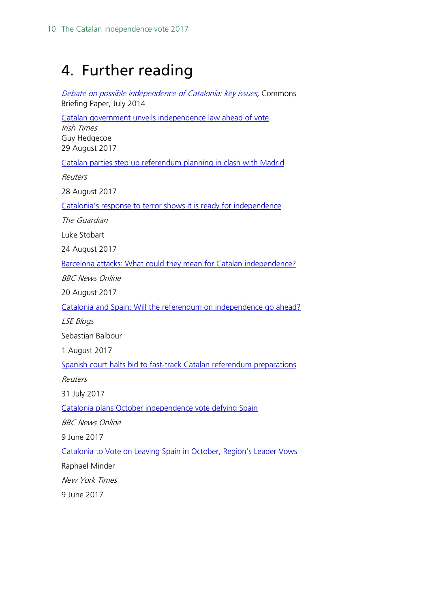### <span id="page-9-0"></span>4. Further reading

[Debate on possible independence of Catalonia: key issues,](http://researchbriefings.parliament.uk/ResearchBriefing/Summary/SN06933) Commons Briefing Paper, July 2014 [Catalan government unveils independence law ahead of vote](https://www.irishtimes.com/news/world/europe/catalan-government-unveils-independence-law-ahead-of-vote-1.3202403) Irish Times Guy Hedgecoe 29 August 2017 [Catalan parties step up referendum planning in clash with Madrid](https://www.reuters.com/article/us-spain-politics-catalonia-idUSKCN1B81NK) Reuters 28 August 2017 [Catalonia's response to terror shows it is ready for independence](https://www.theguardian.com/commentisfree/2017/aug/24/catalonia-terror-independence-referendum-spain-catalans) The Guardian Luke Stobart 24 August 2017 [Barcelona attacks: What could they mean for Catalan independence?](http://www.bbc.co.uk/news/world-europe-40990947) BBC News Online 20 August 2017 [Catalonia and Spain: Will the referendum on independence go ahead?](http://blogs.lse.ac.uk/europpblog/2017/08/01/catalonia-and-spain-will-the-referendum-on-independence-go-ahead/) LSE Blogs Sebastian Balbour 1 August 2017 [Spanish court halts bid to fast-track Catalan referendum preparations](https://www.reuters.com/article/us-spain-politics-catalonia-idUSKBN1AG27S) Reuters 31 July 2017 [Catalonia plans October independence vote defying Spain](http://www.bbc.co.uk/news/world-europe-40220246) BBC News Online 9 June 2017 [Catalonia to Vote on Leaving Spain in October, Region's Leader Vows](https://www.nytimes.com/2017/06/09/world/europe/spain-catalonia-independence-refererendum.html) Raphael Minder New York Times

9 June 2017